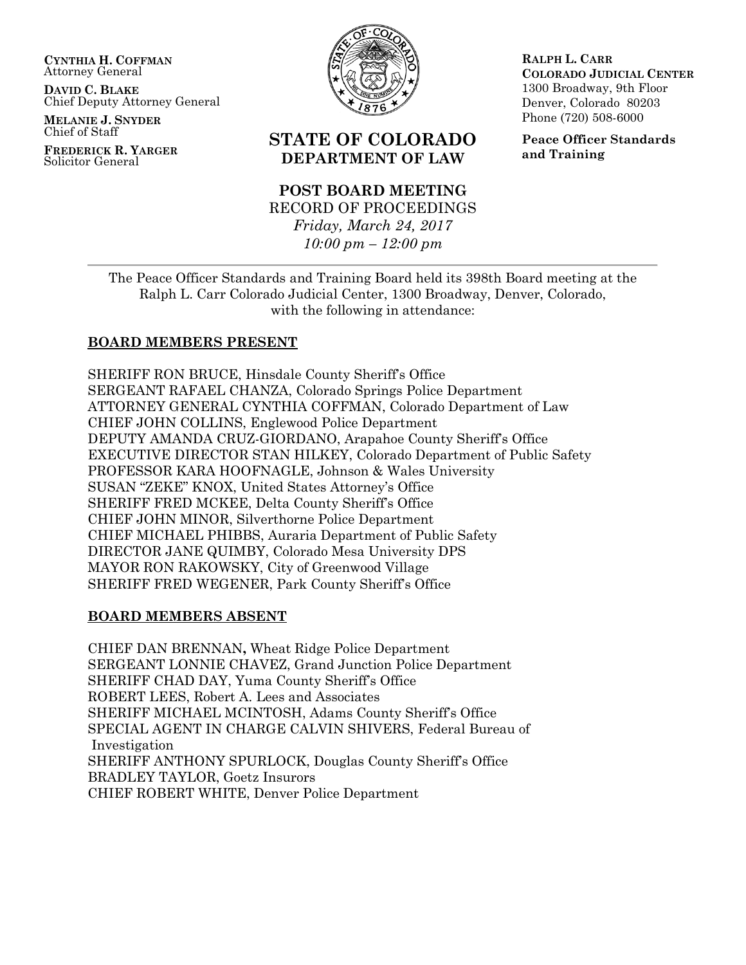**CYNTHIA H. COFFMAN** Attorney General

**DAVID C. BLAKE** Chief Deputy Attorney General

**MELANIE J. SNYDER** Chief of Staff

**FREDERICK R. YARGER** Solicitor General



# **STATE OF COLORADO DEPARTMENT OF LAW**

# **POST BOARD MEETING** RECORD OF PROCEEDINGS *Friday, March 24, 2017*

*10:00 pm – 12:00 pm*

**RALPH L. CARR COLORADO JUDICIAL CENTER** 1300 Broadway, 9th Floor Denver, Colorado 80203 Phone (720) 508-6000

**Peace Officer Standards and Training**

The Peace Officer Standards and Training Board held its 398th Board meeting at the Ralph L. Carr Colorado Judicial Center, 1300 Broadway, Denver, Colorado, with the following in attendance:

# **BOARD MEMBERS PRESENT**

SHERIFF RON BRUCE, Hinsdale County Sheriff's Office SERGEANT RAFAEL CHANZA, Colorado Springs Police Department ATTORNEY GENERAL CYNTHIA COFFMAN, Colorado Department of Law CHIEF JOHN COLLINS, Englewood Police Department DEPUTY AMANDA CRUZ-GIORDANO, Arapahoe County Sheriff's Office EXECUTIVE DIRECTOR STAN HILKEY, Colorado Department of Public Safety PROFESSOR KARA HOOFNAGLE, Johnson & Wales University SUSAN "ZEKE" KNOX, United States Attorney's Office SHERIFF FRED MCKEE, Delta County Sheriff's Office CHIEF JOHN MINOR, Silverthorne Police Department CHIEF MICHAEL PHIBBS, Auraria Department of Public Safety DIRECTOR JANE QUIMBY, Colorado Mesa University DPS MAYOR RON RAKOWSKY, City of Greenwood Village SHERIFF FRED WEGENER, Park County Sheriff's Office

# **BOARD MEMBERS ABSENT**

CHIEF DAN BRENNAN**,** Wheat Ridge Police Department SERGEANT LONNIE CHAVEZ, Grand Junction Police Department SHERIFF CHAD DAY, Yuma County Sheriff's Office ROBERT LEES, Robert A. Lees and Associates SHERIFF MICHAEL MCINTOSH, Adams County Sheriff's Office SPECIAL AGENT IN CHARGE CALVIN SHIVERS, Federal Bureau of Investigation SHERIFF ANTHONY SPURLOCK, Douglas County Sheriff's Office BRADLEY TAYLOR, Goetz Insurors CHIEF ROBERT WHITE, Denver Police Department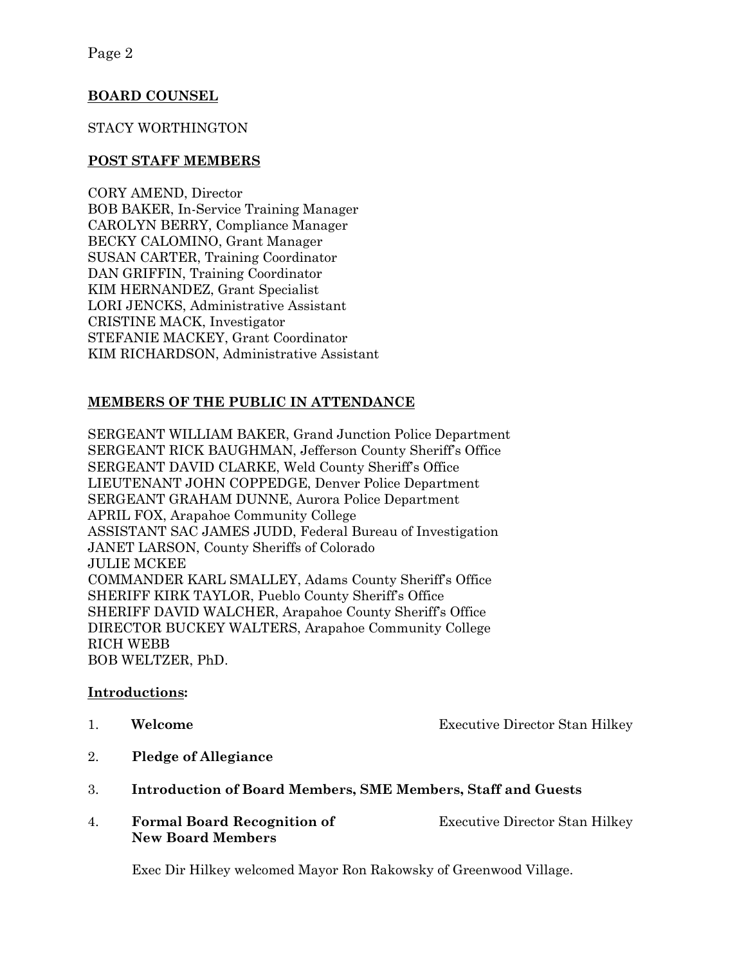## **BOARD COUNSEL**

### STACY WORTHINGTON

#### **POST STAFF MEMBERS**

CORY AMEND, Director BOB BAKER, In-Service Training Manager CAROLYN BERRY, Compliance Manager BECKY CALOMINO, Grant Manager SUSAN CARTER, Training Coordinator DAN GRIFFIN, Training Coordinator KIM HERNANDEZ, Grant Specialist LORI JENCKS, Administrative Assistant CRISTINE MACK, Investigator STEFANIE MACKEY, Grant Coordinator KIM RICHARDSON, Administrative Assistant

## **MEMBERS OF THE PUBLIC IN ATTENDANCE**

SERGEANT WILLIAM BAKER, Grand Junction Police Department SERGEANT RICK BAUGHMAN, Jefferson County Sheriff's Office SERGEANT DAVID CLARKE, Weld County Sheriff's Office LIEUTENANT JOHN COPPEDGE, Denver Police Department SERGEANT GRAHAM DUNNE, Aurora Police Department APRIL FOX, Arapahoe Community College ASSISTANT SAC JAMES JUDD, Federal Bureau of Investigation JANET LARSON, County Sheriffs of Colorado JULIE MCKEE COMMANDER KARL SMALLEY, Adams County Sheriff's Office SHERIFF KIRK TAYLOR, Pueblo County Sheriff's Office SHERIFF DAVID WALCHER, Arapahoe County Sheriff's Office DIRECTOR BUCKEY WALTERS, Arapahoe Community College RICH WEBB BOB WELTZER, PhD.

#### **Introductions:**

- 
- 1. **Welcome Executive Director Stan Hilkey**
- 2. **Pledge of Allegiance**
- 3. **Introduction of Board Members, SME Members, Staff and Guests**
- 4. **Formal Board Recognition of** Executive Director Stan Hilkey **New Board Members**

Exec Dir Hilkey welcomed Mayor Ron Rakowsky of Greenwood Village.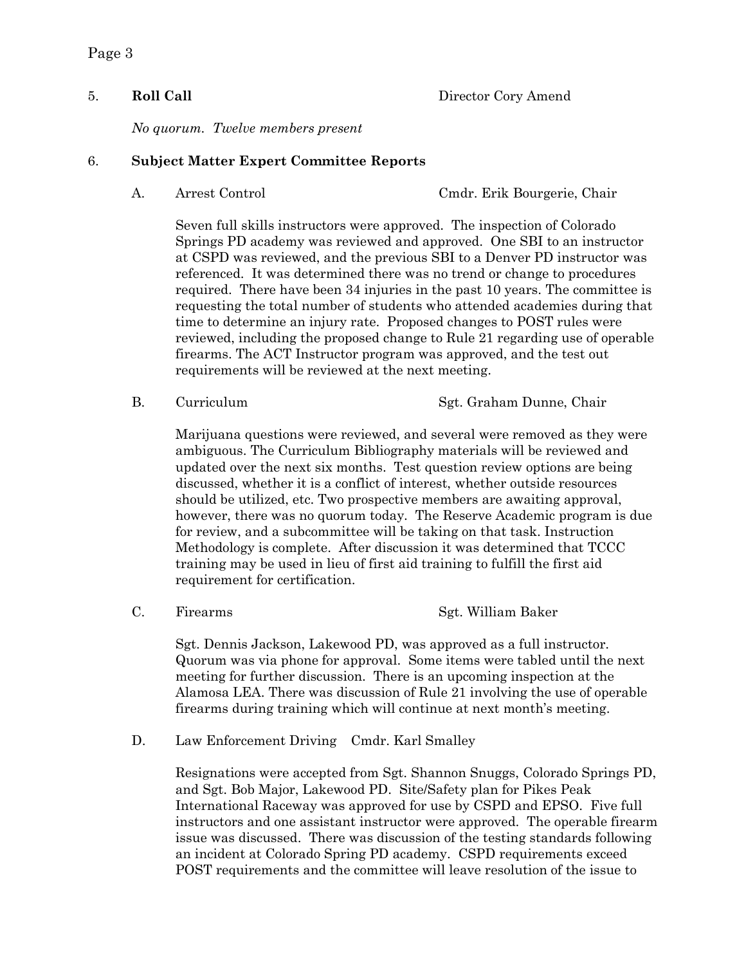Page 3

5. **Roll Call** Director Cory Amend

*No quorum. Twelve members present*

#### 6. **Subject Matter Expert Committee Reports**

A. Arrest Control Cmdr. Erik Bourgerie, Chair

Seven full skills instructors were approved. The inspection of Colorado Springs PD academy was reviewed and approved. One SBI to an instructor at CSPD was reviewed, and the previous SBI to a Denver PD instructor was referenced. It was determined there was no trend or change to procedures required. There have been 34 injuries in the past 10 years. The committee is requesting the total number of students who attended academies during that time to determine an injury rate. Proposed changes to POST rules were reviewed, including the proposed change to Rule 21 regarding use of operable firearms. The ACT Instructor program was approved, and the test out requirements will be reviewed at the next meeting.

Marijuana questions were reviewed, and several were removed as they were ambiguous. The Curriculum Bibliography materials will be reviewed and updated over the next six months. Test question review options are being discussed, whether it is a conflict of interest, whether outside resources should be utilized, etc. Two prospective members are awaiting approval, however, there was no quorum today. The Reserve Academic program is due for review, and a subcommittee will be taking on that task. Instruction Methodology is complete. After discussion it was determined that TCCC training may be used in lieu of first aid training to fulfill the first aid requirement for certification.

Sgt. Dennis Jackson, Lakewood PD, was approved as a full instructor. Quorum was via phone for approval. Some items were tabled until the next meeting for further discussion. There is an upcoming inspection at the Alamosa LEA. There was discussion of Rule 21 involving the use of operable firearms during training which will continue at next month's meeting.

D. Law Enforcement Driving Cmdr. Karl Smalley

Resignations were accepted from Sgt. Shannon Snuggs, Colorado Springs PD, and Sgt. Bob Major, Lakewood PD. Site/Safety plan for Pikes Peak International Raceway was approved for use by CSPD and EPSO. Five full instructors and one assistant instructor were approved. The operable firearm issue was discussed. There was discussion of the testing standards following an incident at Colorado Spring PD academy. CSPD requirements exceed POST requirements and the committee will leave resolution of the issue to

B. Curriculum Sgt. Graham Dunne, Chair

C. Firearms Sgt. William Baker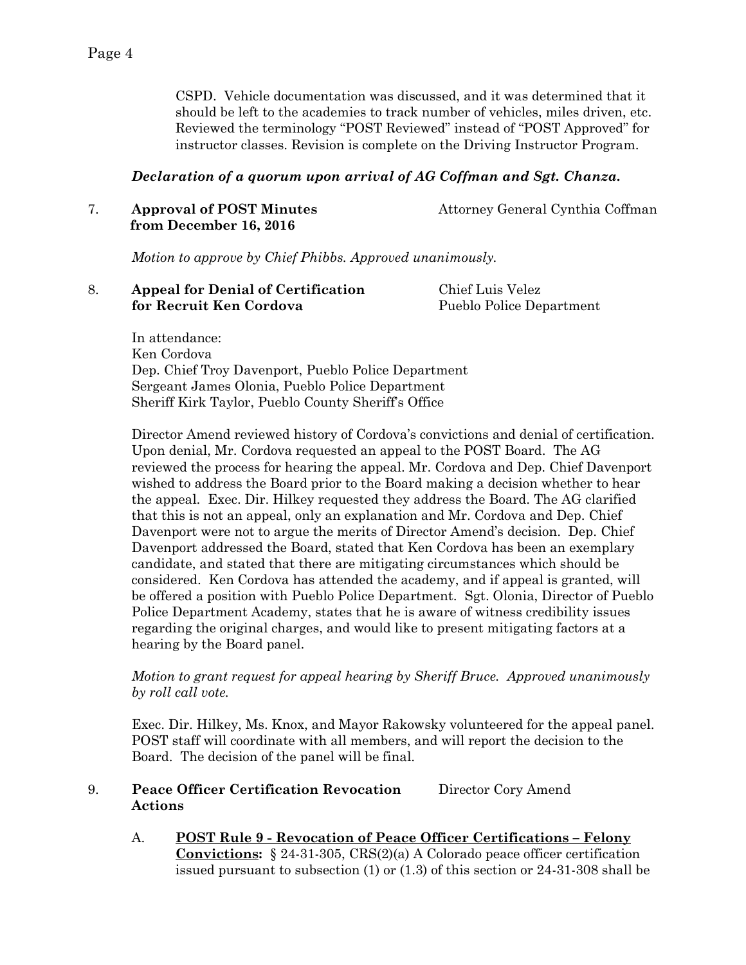CSPD. Vehicle documentation was discussed, and it was determined that it should be left to the academies to track number of vehicles, miles driven, etc. Reviewed the terminology "POST Reviewed" instead of "POST Approved" for instructor classes. Revision is complete on the Driving Instructor Program.

#### *Declaration of a quorum upon arrival of AG Coffman and Sgt. Chanza.*

7. **Approval of POST Minutes** Attorney General Cynthia Coffman  **from December 16, 2016**

*Motion to approve by Chief Phibbs. Approved unanimously.*

|  | <b>Appeal for Denial of Certification</b> | Chief Luis Velez         |
|--|-------------------------------------------|--------------------------|
|  | for Recruit Ken Cordova                   | Pueblo Police Department |

In attendance: Ken Cordova Dep. Chief Troy Davenport, Pueblo Police Department Sergeant James Olonia, Pueblo Police Department Sheriff Kirk Taylor, Pueblo County Sheriff's Office

Director Amend reviewed history of Cordova's convictions and denial of certification. Upon denial, Mr. Cordova requested an appeal to the POST Board. The AG reviewed the process for hearing the appeal. Mr. Cordova and Dep. Chief Davenport wished to address the Board prior to the Board making a decision whether to hear the appeal. Exec. Dir. Hilkey requested they address the Board. The AG clarified that this is not an appeal, only an explanation and Mr. Cordova and Dep. Chief Davenport were not to argue the merits of Director Amend's decision. Dep. Chief Davenport addressed the Board, stated that Ken Cordova has been an exemplary candidate, and stated that there are mitigating circumstances which should be considered. Ken Cordova has attended the academy, and if appeal is granted, will be offered a position with Pueblo Police Department. Sgt. Olonia, Director of Pueblo Police Department Academy, states that he is aware of witness credibility issues regarding the original charges, and would like to present mitigating factors at a hearing by the Board panel.

*Motion to grant request for appeal hearing by Sheriff Bruce. Approved unanimously by roll call vote.*

Exec. Dir. Hilkey, Ms. Knox, and Mayor Rakowsky volunteered for the appeal panel. POST staff will coordinate with all members, and will report the decision to the Board. The decision of the panel will be final.

#### 9. **Peace Officer Certification Revocation** Director Cory Amend **Actions**

A. **POST Rule 9 - Revocation of Peace Officer Certifications – Felony Convictions:** § 24-31-305, CRS(2)(a) A Colorado peace officer certification issued pursuant to subsection (1) or (1.3) of this section or 24-31-308 shall be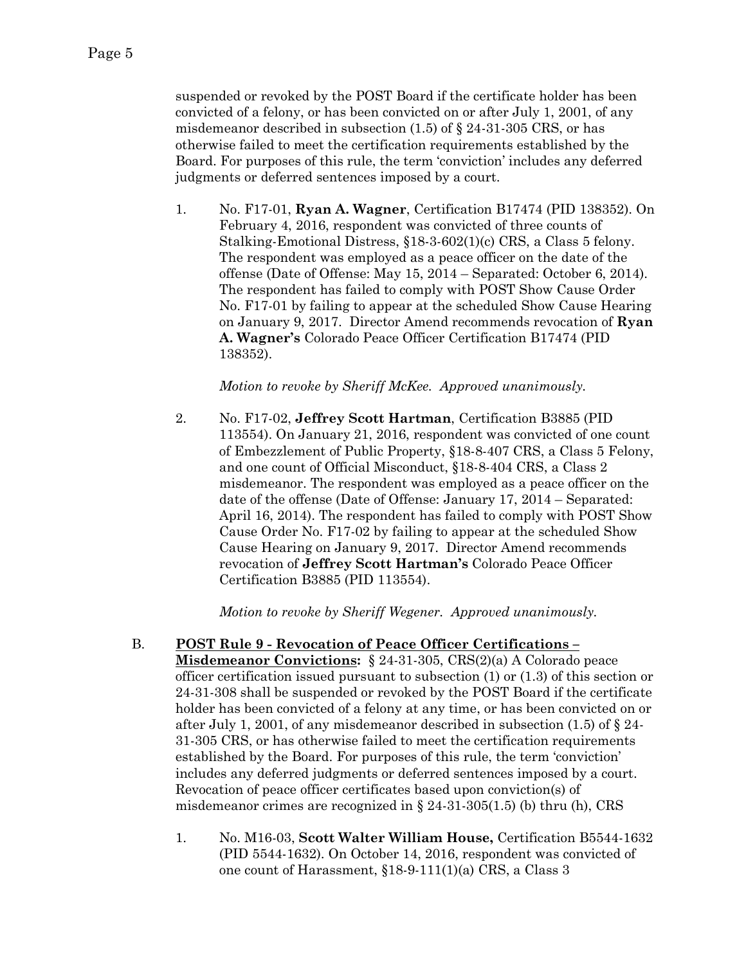suspended or revoked by the POST Board if the certificate holder has been convicted of a felony, or has been convicted on or after July 1, 2001, of any misdemeanor described in subsection  $(1.5)$  of  $\S$  24-31-305 CRS, or has otherwise failed to meet the certification requirements established by the Board. For purposes of this rule, the term 'conviction' includes any deferred judgments or deferred sentences imposed by a court.

1. No. F17-01, **Ryan A. Wagner**, Certification B17474 (PID 138352). On February 4, 2016, respondent was convicted of three counts of Stalking-Emotional Distress, §18-3-602(1)(c) CRS, a Class 5 felony. The respondent was employed as a peace officer on the date of the offense (Date of Offense: May 15, 2014 – Separated: October 6, 2014). The respondent has failed to comply with POST Show Cause Order No. F17-01 by failing to appear at the scheduled Show Cause Hearing on January 9, 2017. Director Amend recommends revocation of **Ryan A. Wagner's** Colorado Peace Officer Certification B17474 (PID 138352).

*Motion to revoke by Sheriff McKee. Approved unanimously.*

2. No. F17-02, **Jeffrey Scott Hartman**, Certification B3885 (PID 113554). On January 21, 2016, respondent was convicted of one count of Embezzlement of Public Property, §18-8-407 CRS, a Class 5 Felony, and one count of Official Misconduct, §18-8-404 CRS, a Class 2 misdemeanor. The respondent was employed as a peace officer on the date of the offense (Date of Offense: January 17, 2014 – Separated: April 16, 2014). The respondent has failed to comply with POST Show Cause Order No. F17-02 by failing to appear at the scheduled Show Cause Hearing on January 9, 2017. Director Amend recommends revocation of **Jeffrey Scott Hartman's** Colorado Peace Officer Certification B3885 (PID 113554).

*Motion to revoke by Sheriff Wegener. Approved unanimously.*

- B. **POST Rule 9 - Revocation of Peace Officer Certifications – Misdemeanor Convictions:** § 24-31-305, CRS(2)(a) A Colorado peace officer certification issued pursuant to subsection (1) or (1.3) of this section or 24-31-308 shall be suspended or revoked by the POST Board if the certificate holder has been convicted of a felony at any time, or has been convicted on or after July 1, 2001, of any misdemeanor described in subsection  $(1.5)$  of  $\S$  24-31-305 CRS, or has otherwise failed to meet the certification requirements established by the Board. For purposes of this rule, the term 'conviction' includes any deferred judgments or deferred sentences imposed by a court. Revocation of peace officer certificates based upon conviction(s) of misdemeanor crimes are recognized in  $\S 24-31-305(1.5)$  (b) thru (h), CRS
	- 1. No. M16-03, **Scott Walter William House,** Certification B5544-1632 (PID 5544-1632). On October 14, 2016, respondent was convicted of one count of Harassment, §18-9-111(1)(a) CRS, a Class 3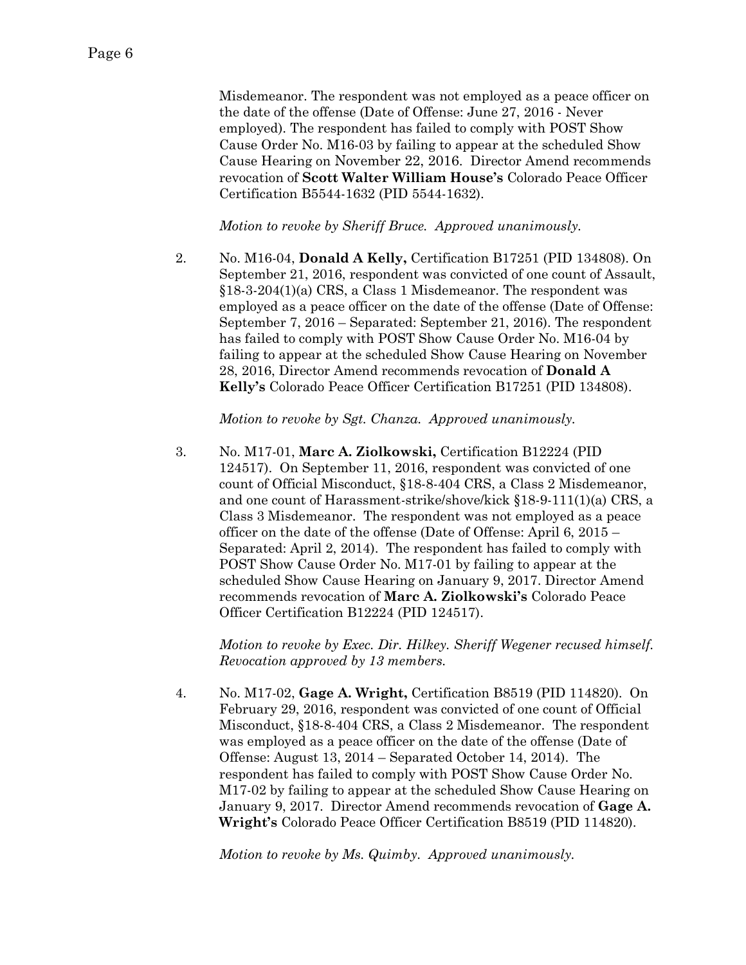Misdemeanor. The respondent was not employed as a peace officer on the date of the offense (Date of Offense: June 27, 2016 - Never employed). The respondent has failed to comply with POST Show Cause Order No. M16-03 by failing to appear at the scheduled Show Cause Hearing on November 22, 2016. Director Amend recommends revocation of **Scott Walter William House's** Colorado Peace Officer Certification B5544-1632 (PID 5544-1632).

*Motion to revoke by Sheriff Bruce. Approved unanimously.*

2. No. M16-04, **Donald A Kelly,** Certification B17251 (PID 134808). On September 21, 2016, respondent was convicted of one count of Assault, §18-3-204(1)(a) CRS, a Class 1 Misdemeanor. The respondent was employed as a peace officer on the date of the offense (Date of Offense: September 7, 2016 – Separated: September 21, 2016). The respondent has failed to comply with POST Show Cause Order No. M16-04 by failing to appear at the scheduled Show Cause Hearing on November 28, 2016, Director Amend recommends revocation of **Donald A Kelly's** Colorado Peace Officer Certification B17251 (PID 134808).

*Motion to revoke by Sgt. Chanza. Approved unanimously.*

3. No. M17-01, **Marc A. Ziolkowski,** Certification B12224 (PID 124517). On September 11, 2016, respondent was convicted of one count of Official Misconduct, §18-8-404 CRS, a Class 2 Misdemeanor, and one count of Harassment-strike/shove/kick §18-9-111(1)(a) CRS, a Class 3 Misdemeanor. The respondent was not employed as a peace officer on the date of the offense (Date of Offense: April 6, 2015 – Separated: April 2, 2014). The respondent has failed to comply with POST Show Cause Order No. M17-01 by failing to appear at the scheduled Show Cause Hearing on January 9, 2017. Director Amend recommends revocation of **Marc A. Ziolkowski's** Colorado Peace Officer Certification B12224 (PID 124517).

*Motion to revoke by Exec. Dir. Hilkey. Sheriff Wegener recused himself. Revocation approved by 13 members.* 

4. No. M17-02, **Gage A. Wright,** Certification B8519 (PID 114820). On February 29, 2016, respondent was convicted of one count of Official Misconduct, §18-8-404 CRS, a Class 2 Misdemeanor. The respondent was employed as a peace officer on the date of the offense (Date of Offense: August 13, 2014 – Separated October 14, 2014). The respondent has failed to comply with POST Show Cause Order No. M17-02 by failing to appear at the scheduled Show Cause Hearing on January 9, 2017. Director Amend recommends revocation of **Gage A. Wright's** Colorado Peace Officer Certification B8519 (PID 114820).

*Motion to revoke by Ms. Quimby. Approved unanimously.*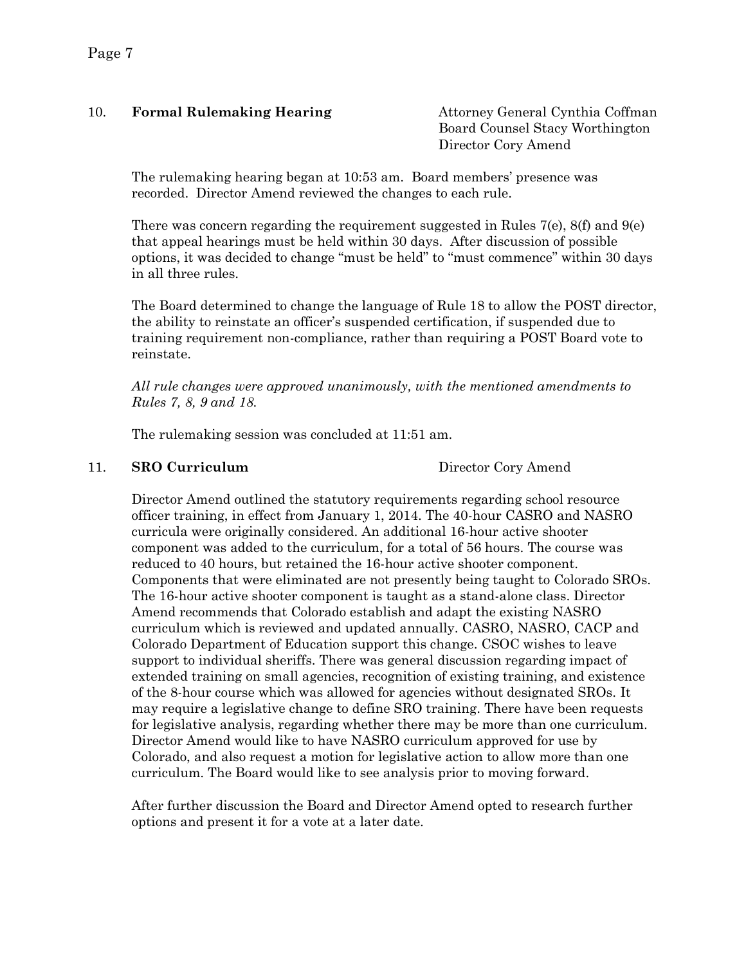# 10. **Formal Rulemaking Hearing** Attorney General Cynthia Coffman

Board Counsel Stacy Worthington Director Cory Amend

The rulemaking hearing began at 10:53 am. Board members' presence was recorded. Director Amend reviewed the changes to each rule.

There was concern regarding the requirement suggested in Rules  $7(e)$ ,  $8(f)$  and  $9(e)$ that appeal hearings must be held within 30 days. After discussion of possible options, it was decided to change "must be held" to "must commence" within 30 days in all three rules.

The Board determined to change the language of Rule 18 to allow the POST director, the ability to reinstate an officer's suspended certification, if suspended due to training requirement non-compliance, rather than requiring a POST Board vote to reinstate.

*All rule changes were approved unanimously, with the mentioned amendments to Rules 7, 8, 9 and 18.* 

The rulemaking session was concluded at 11:51 am.

## 11. **SRO Curriculum** Director Cory Amend

Director Amend outlined the statutory requirements regarding school resource officer training, in effect from January 1, 2014. The 40-hour CASRO and NASRO curricula were originally considered. An additional 16-hour active shooter component was added to the curriculum, for a total of 56 hours. The course was reduced to 40 hours, but retained the 16-hour active shooter component. Components that were eliminated are not presently being taught to Colorado SROs. The 16-hour active shooter component is taught as a stand-alone class. Director Amend recommends that Colorado establish and adapt the existing NASRO curriculum which is reviewed and updated annually. CASRO, NASRO, CACP and Colorado Department of Education support this change. CSOC wishes to leave support to individual sheriffs. There was general discussion regarding impact of extended training on small agencies, recognition of existing training, and existence of the 8-hour course which was allowed for agencies without designated SROs. It may require a legislative change to define SRO training. There have been requests for legislative analysis, regarding whether there may be more than one curriculum. Director Amend would like to have NASRO curriculum approved for use by Colorado, and also request a motion for legislative action to allow more than one curriculum. The Board would like to see analysis prior to moving forward.

After further discussion the Board and Director Amend opted to research further options and present it for a vote at a later date.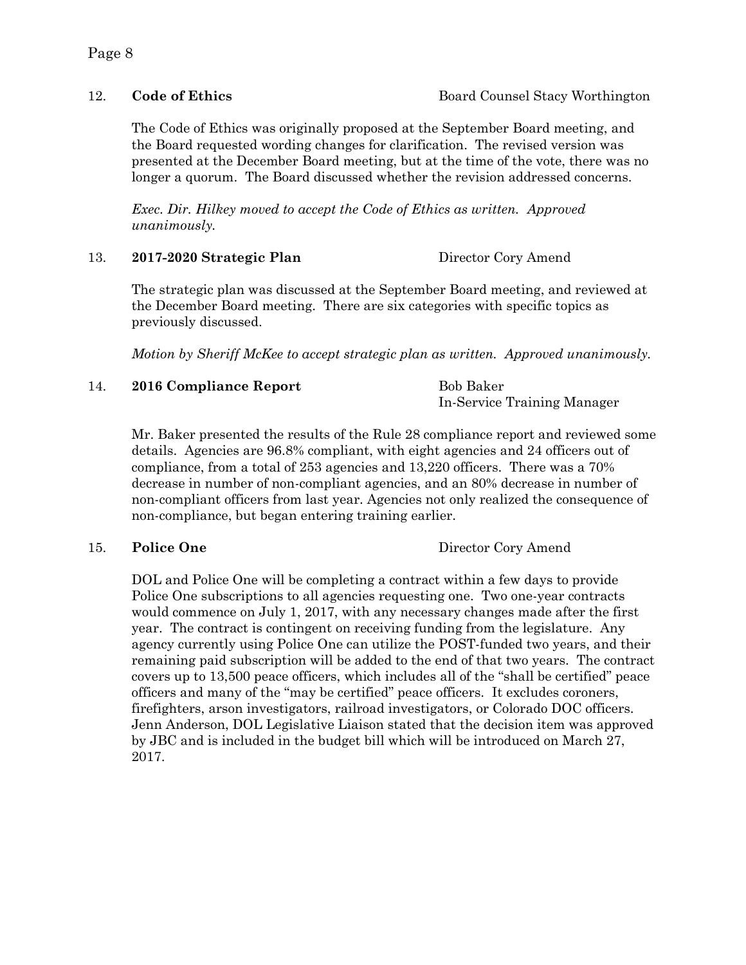The Code of Ethics was originally proposed at the September Board meeting, and the Board requested wording changes for clarification. The revised version was presented at the December Board meeting, but at the time of the vote, there was no longer a quorum. The Board discussed whether the revision addressed concerns.

*Exec. Dir. Hilkey moved to accept the Code of Ethics as written. Approved unanimously.* 

13. **2017-2020 Strategic Plan** Director Cory Amend

The strategic plan was discussed at the September Board meeting, and reviewed at the December Board meeting. There are six categories with specific topics as previously discussed.

*Motion by Sheriff McKee to accept strategic plan as written. Approved unanimously.*

14. **2016 Compliance Report** Bob Baker

In-Service Training Manager

Mr. Baker presented the results of the Rule 28 compliance report and reviewed some details. Agencies are 96.8% compliant, with eight agencies and 24 officers out of compliance, from a total of 253 agencies and 13,220 officers. There was a 70% decrease in number of non-compliant agencies, and an 80% decrease in number of non-compliant officers from last year. Agencies not only realized the consequence of non-compliance, but began entering training earlier.

15. **Police One** Director Cory Amend

DOL and Police One will be completing a contract within a few days to provide Police One subscriptions to all agencies requesting one. Two one-year contracts would commence on July 1, 2017, with any necessary changes made after the first year. The contract is contingent on receiving funding from the legislature. Any agency currently using Police One can utilize the POST-funded two years, and their remaining paid subscription will be added to the end of that two years. The contract covers up to 13,500 peace officers, which includes all of the "shall be certified" peace officers and many of the "may be certified" peace officers. It excludes coroners, firefighters, arson investigators, railroad investigators, or Colorado DOC officers. Jenn Anderson, DOL Legislative Liaison stated that the decision item was approved by JBC and is included in the budget bill which will be introduced on March 27, 2017.